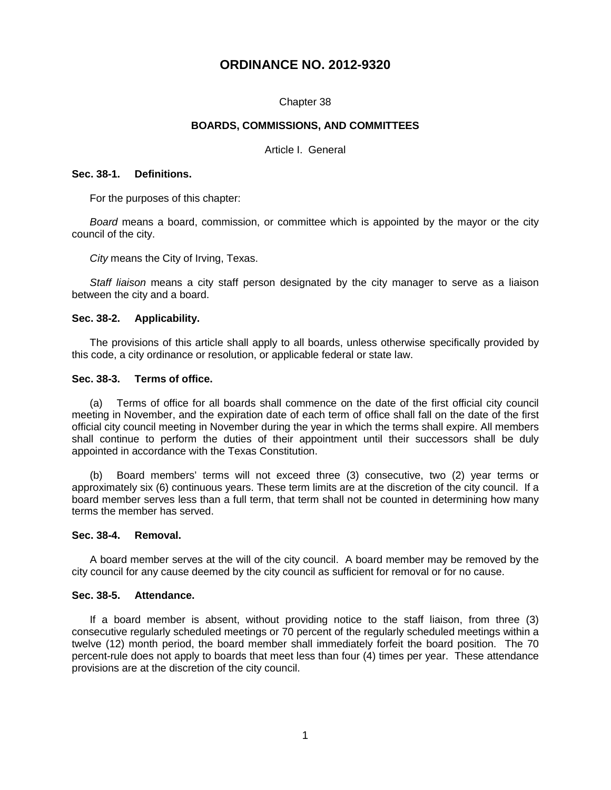# **ORDINANCE NO. 2012-9320**

## Chapter 38

## **BOARDS, COMMISSIONS, AND COMMITTEES**

Article I. General

## **Sec. 38-1. Definitions.**

For the purposes of this chapter:

*Board* means a board, commission, or committee which is appointed by the mayor or the city council of the city.

*City* means the City of Irving, Texas.

*Staff liaison* means a city staff person designated by the city manager to serve as a liaison between the city and a board.

## **Sec. 38-2. Applicability.**

The provisions of this article shall apply to all boards, unless otherwise specifically provided by this code, a city ordinance or resolution, or applicable federal or state law.

## **Sec. 38-3. Terms of office.**

(a) Terms of office for all boards shall commence on the date of the first official city council meeting in November, and the expiration date of each term of office shall fall on the date of the first official city council meeting in November during the year in which the terms shall expire. All members shall continue to perform the duties of their appointment until their successors shall be duly appointed in accordance with the Texas Constitution.

(b) Board members' terms will not exceed three (3) consecutive, two (2) year terms or approximately six (6) continuous years. These term limits are at the discretion of the city council. If a board member serves less than a full term, that term shall not be counted in determining how many terms the member has served.

## **Sec. 38-4. Removal.**

A board member serves at the will of the city council. A board member may be removed by the city council for any cause deemed by the city council as sufficient for removal or for no cause.

### **Sec. 38-5. Attendance.**

If a board member is absent, without providing notice to the staff liaison, from three (3) consecutive regularly scheduled meetings or 70 percent of the regularly scheduled meetings within a twelve (12) month period, the board member shall immediately forfeit the board position. The 70 percent-rule does not apply to boards that meet less than four (4) times per year. These attendance provisions are at the discretion of the city council.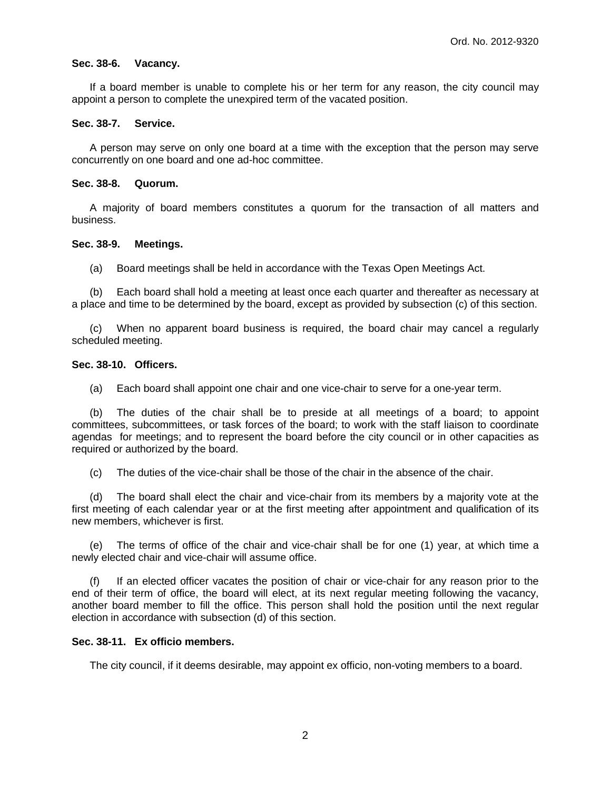## **Sec. 38-6. Vacancy.**

If a board member is unable to complete his or her term for any reason, the city council may appoint a person to complete the unexpired term of the vacated position.

## **Sec. 38-7. Service.**

A person may serve on only one board at a time with the exception that the person may serve concurrently on one board and one ad-hoc committee.

## **Sec. 38-8. Quorum.**

A majority of board members constitutes a quorum for the transaction of all matters and business.

## **Sec. 38-9. Meetings.**

(a) Board meetings shall be held in accordance with the Texas Open Meetings Act.

(b) Each board shall hold a meeting at least once each quarter and thereafter as necessary at a place and time to be determined by the board, except as provided by subsection (c) of this section.

(c) When no apparent board business is required, the board chair may cancel a regularly scheduled meeting.

## **Sec. 38-10. Officers.**

(a) Each board shall appoint one chair and one vice-chair to serve for a one-year term.

(b) The duties of the chair shall be to preside at all meetings of a board; to appoint committees, subcommittees, or task forces of the board; to work with the staff liaison to coordinate agendas for meetings; and to represent the board before the city council or in other capacities as required or authorized by the board.

(c) The duties of the vice-chair shall be those of the chair in the absence of the chair.

(d) The board shall elect the chair and vice-chair from its members by a majority vote at the first meeting of each calendar year or at the first meeting after appointment and qualification of its new members, whichever is first.

(e) The terms of office of the chair and vice-chair shall be for one (1) year, at which time a newly elected chair and vice-chair will assume office.

If an elected officer vacates the position of chair or vice-chair for any reason prior to the end of their term of office, the board will elect, at its next regular meeting following the vacancy, another board member to fill the office. This person shall hold the position until the next regular election in accordance with subsection (d) of this section.

# **Sec. 38-11. Ex officio members.**

The city council, if it deems desirable, may appoint ex officio, non-voting members to a board.